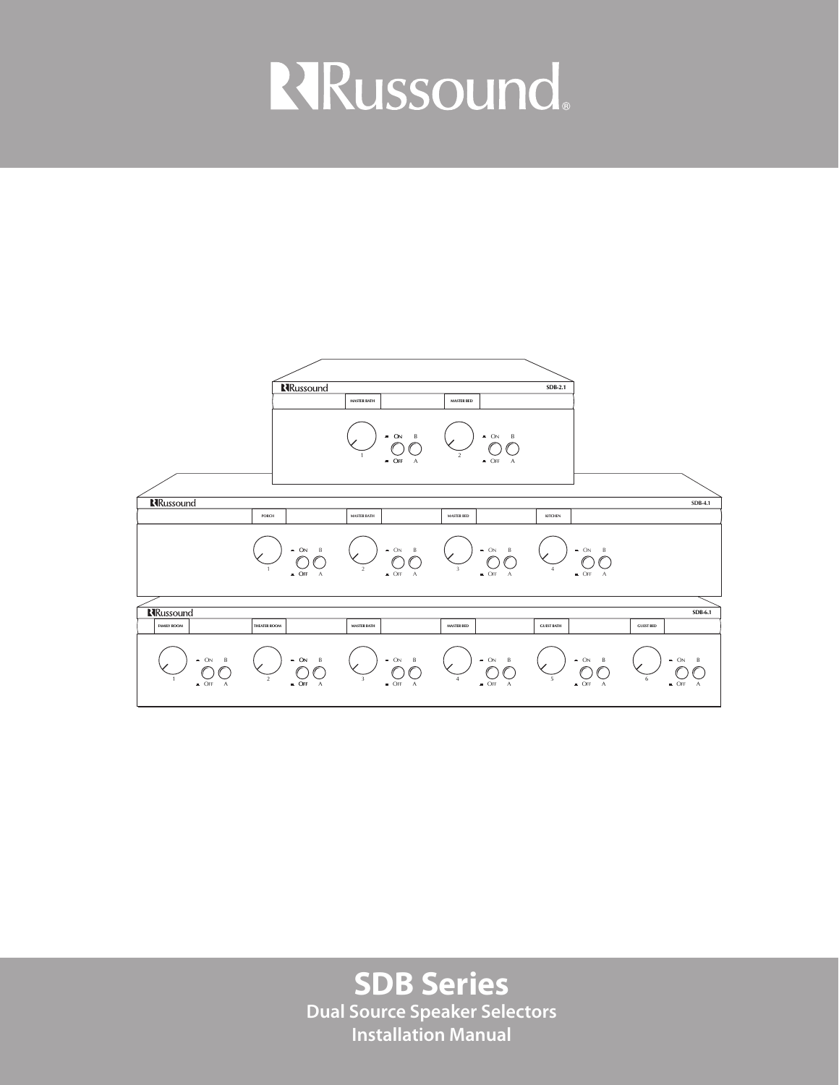# **RRussound**



**SDB Series Dual Source Speaker Selectors Installation Manual**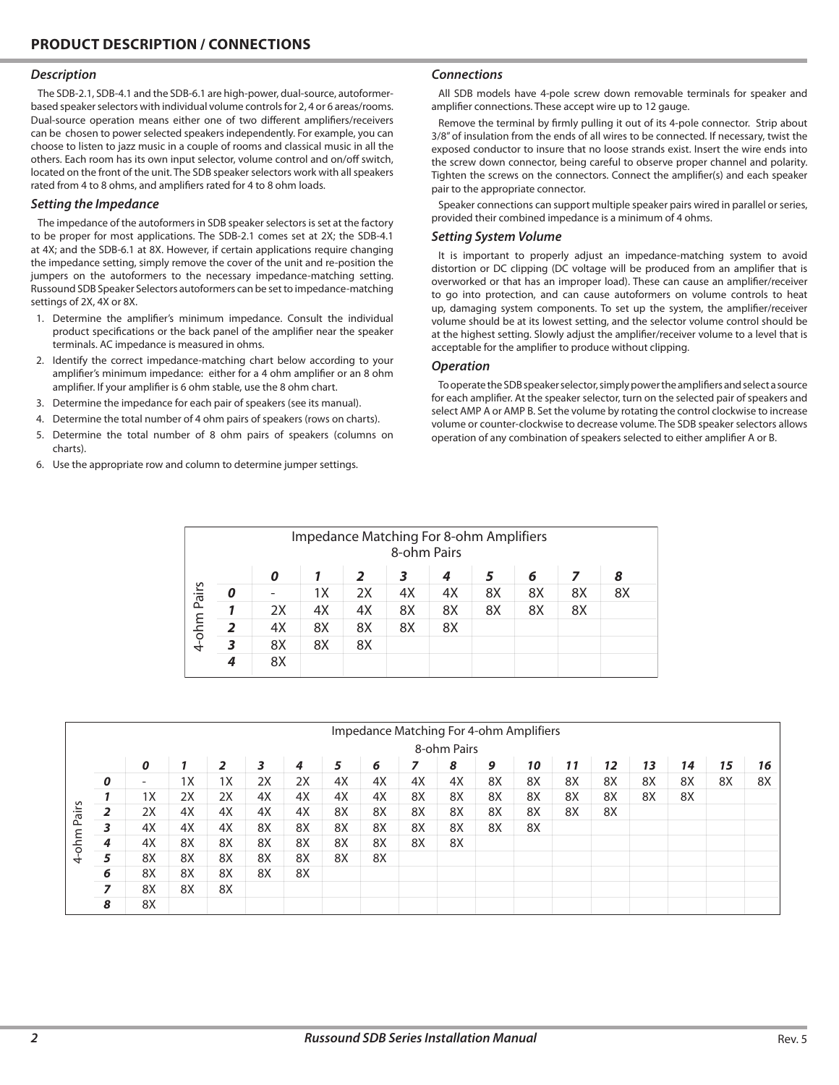#### *Description*

The SDB-2.1, SDB-4.1 and the SDB-6.1 are high-power, dual-source, autoformerbased speaker selectors with individual volume controls for 2, 4 or 6 areas/rooms. Dual-source operation means either one of two different amplifiers/receivers can be chosen to power selected speakers independently. For example, you can choose to listen to jazz music in a couple of rooms and classical music in all the others. Each room has its own input selector, volume control and on/off switch, located on the front of the unit. The SDB speaker selectors work with all speakers rated from 4 to 8 ohms, and amplifiers rated for 4 to 8 ohm loads.

#### *Setting the Impedance*

The impedance of the autoformers in SDB speaker selectors is set at the factory to be proper for most applications. The SDB-2.1 comes set at 2X; the SDB-4.1 at 4X; and the SDB-6.1 at 8X. However, if certain applications require changing the impedance setting, simply remove the cover of the unit and re-position the jumpers on the autoformers to the necessary impedance-matching setting. Russound SDB Speaker Selectors autoformers can be set to impedance-matching settings of 2X, 4X or 8X.

- 1. Determine the amplifier's minimum impedance. Consult the individual product specifications or the back panel of the amplifier near the speaker terminals. AC impedance is measured in ohms.
- 2. Identify the correct impedance-matching chart below according to your amplifier's minimum impedance: either for a 4 ohm amplifier or an 8 ohm amplifier. If your amplifier is 6 ohm stable, use the 8 ohm chart.
- 3. Determine the impedance for each pair of speakers (see its manual).
- 4. Determine the total number of 4 ohm pairs of speakers (rows on charts).
- 5. Determine the total number of 8 ohm pairs of speakers (columns on charts).
- 6. Use the appropriate row and column to determine jumper settings.

#### *Connections*

All SDB models have 4-pole screw down removable terminals for speaker and amplifier connections. These accept wire up to 12 gauge.

Remove the terminal by firmly pulling it out of its 4-pole connector. Strip about 3/8" of insulation from the ends of all wires to be connected. If necessary, twist the exposed conductor to insure that no loose strands exist. Insert the wire ends into the screw down connector, being careful to observe proper channel and polarity. Tighten the screws on the connectors. Connect the amplifier(s) and each speaker pair to the appropriate connector.

Speaker connections can support multiple speaker pairs wired in parallel or series, provided their combined impedance is a minimum of 4 ohms.

#### *Setting System Volume*

It is important to properly adjust an impedance-matching system to avoid distortion or DC clipping (DC voltage will be produced from an amplifier that is overworked or that has an improper load). These can cause an amplifier/receiver to go into protection, and can cause autoformers on volume controls to heat up, damaging system components. To set up the system, the amplifier/receiver volume should be at its lowest setting, and the selector volume control should be at the highest setting. Slowly adjust the amplifier/receiver volume to a level that is acceptable for the amplifier to produce without clipping.

#### *Operation*

To operate the SDB speaker selector, simply power the amplifiers and select a source for each amplifier. At the speaker selector, turn on the selected pair of speakers and select AMP A or AMP B. Set the volume by rotating the control clockwise to increase volume or counter-clockwise to decrease volume. The SDB speaker selectors allows operation of any combination of speakers selected to either amplifier A or B.

| Impedance Matching For 8-ohm Amplifiers<br>8-ohm Pairs |   |    |    |    |    |    |    |    |    |    |
|--------------------------------------------------------|---|----|----|----|----|----|----|----|----|----|
|                                                        |   | 0  |    | 2  | 3  | 4  |    | 6  |    | 8  |
| Pairs                                                  |   |    | 1X | 2X | 4X | 4X | 8X | 8X | 8X | 8X |
|                                                        |   | 2X | 4X | 4X | 8X | 8X | 8X | 8X | 8X |    |
| 4-ohm                                                  |   | 4X | 8X | 8X | 8X | 8X |    |    |    |    |
|                                                        |   | 8X | 8X | 8X |    |    |    |    |    |    |
|                                                        | 4 | 8X |    |    |    |    |    |    |    |    |

| Impedance Matching For 4-ohm Amplifiers |                  |    |    |    |    |    |    |    |    |    |    |    |    |    |    |    |    |    |
|-----------------------------------------|------------------|----|----|----|----|----|----|----|----|----|----|----|----|----|----|----|----|----|
|                                         | 8-ohm Pairs      |    |    |    |    |    |    |    |    |    |    |    |    |    |    |    |    |    |
|                                         |                  | 0  |    | 2  | 3  | 4  | 5  | 6  | 7  | 8  | 9  | 10 | 11 | 12 | 13 | 14 | 15 | 16 |
| Pairs<br>m<br>E<br>$\circ$<br>↤         | $\boldsymbol{o}$ | ٠  | 1X | 1X | 2X | 2X | 4X | 4X | 4X | 4X | 8X | 8X | 8X | 8X | 8X | 8X | 8X | 8X |
|                                         |                  | 1X | 2X | 2X | 4X | 4X | 4X | 4X | 8X | 8X | 8X | 8X | 8X | 8X | 8X | 8X |    |    |
|                                         |                  | 2X | 4X | 4X | 4X | 4X | 8X | 8X | 8X | 8X | 8X | 8X | 8X | 8X |    |    |    |    |
|                                         | 3                | 4X | 4X | 4X | 8X | 8X | 8X | 8X | 8X | 8X | 8X | 8X |    |    |    |    |    |    |
|                                         | 4                | 4X | 8X | 8X | 8X | 8X | 8X | 8X | 8X | 8X |    |    |    |    |    |    |    |    |
|                                         | 5                | 8X | 8X | 8X | 8X | 8X | 8X | 8X |    |    |    |    |    |    |    |    |    |    |
|                                         | 6                | 8X | 8X | 8X | 8X | 8X |    |    |    |    |    |    |    |    |    |    |    |    |
|                                         | $\overline{z}$   | 8X | 8X | 8X |    |    |    |    |    |    |    |    |    |    |    |    |    |    |
|                                         | 8                | 8X |    |    |    |    |    |    |    |    |    |    |    |    |    |    |    |    |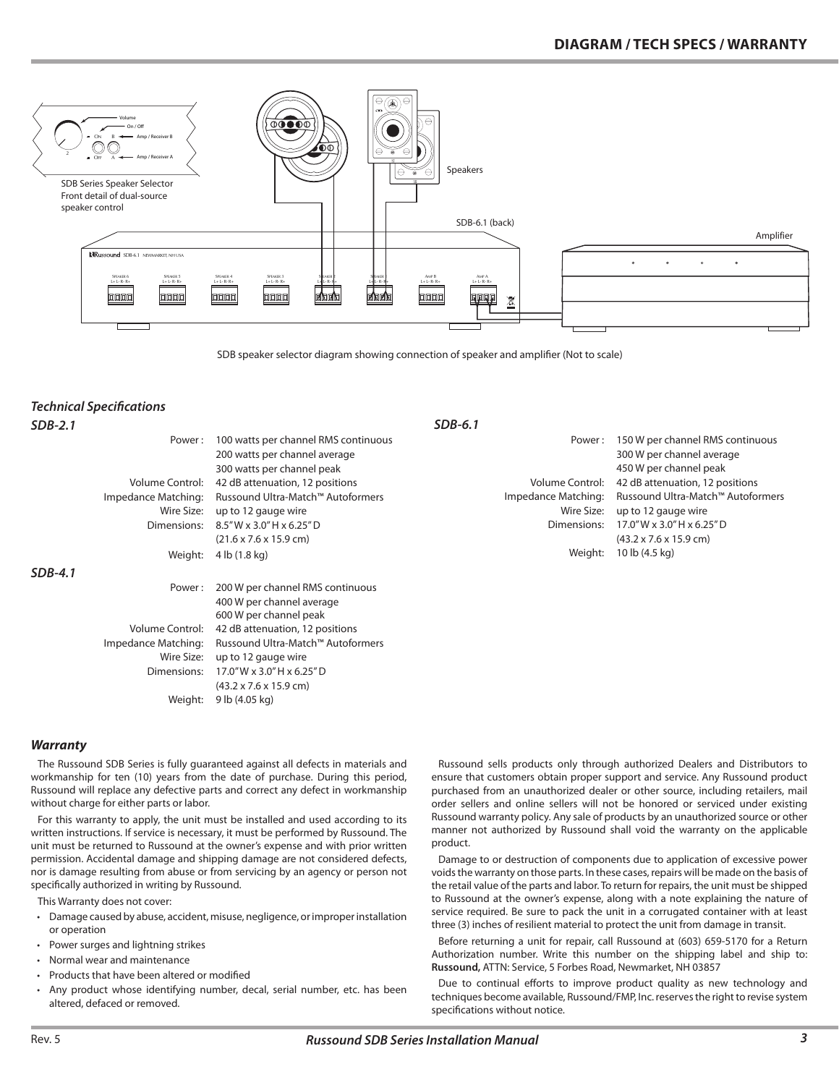

SDB speaker selector diagram showing connection of speaker and amplifier (Not to scale)

## *Technical Specifications SDB-2.1*

| SDB-2.1 | $SDB-6.1$           |                                            |                        |                                            |  |  |  |  |  |  |
|---------|---------------------|--------------------------------------------|------------------------|--------------------------------------------|--|--|--|--|--|--|
|         | Power:              | 100 watts per channel RMS continuous       | Power:                 | 150 W per channel RMS continuous           |  |  |  |  |  |  |
|         |                     | 200 watts per channel average              |                        | 300 W per channel average                  |  |  |  |  |  |  |
|         |                     | 300 watts per channel peak                 |                        | 450 W per channel peak                     |  |  |  |  |  |  |
|         | Volume Control:     | 42 dB attenuation, 12 positions            | <b>Volume Control:</b> | 42 dB attenuation, 12 positions            |  |  |  |  |  |  |
|         | Impedance Matching: | Russound Ultra-Match™ Autoformers          | Impedance Matching:    | Russound Ultra-Match™ Autoformers          |  |  |  |  |  |  |
|         | Wire Size:          | up to 12 gauge wire                        | Wire Size:             | up to 12 gauge wire                        |  |  |  |  |  |  |
|         | Dimensions:         | $8.5''$ W x 3.0" H x 6.25" D               | Dimensions:            | 17.0" W x 3.0" H x 6.25" D                 |  |  |  |  |  |  |
|         |                     | $(21.6 \times 7.6 \times 15.9$ cm)         |                        | $(43.2 \times 7.6 \times 15.9 \text{ cm})$ |  |  |  |  |  |  |
|         | Weight:             | 4 lb (1.8 kg)                              | Weight:                | 10 lb (4.5 kg)                             |  |  |  |  |  |  |
| SDB-4.1 |                     |                                            |                        |                                            |  |  |  |  |  |  |
|         | Power:              | 200 W per channel RMS continuous           |                        |                                            |  |  |  |  |  |  |
|         |                     | 400 W per channel average                  |                        |                                            |  |  |  |  |  |  |
|         |                     | 600 W per channel peak                     |                        |                                            |  |  |  |  |  |  |
|         | Volume Control:     | 42 dB attenuation, 12 positions            |                        |                                            |  |  |  |  |  |  |
|         | Impedance Matching: | Russound Ultra-Match™ Autoformers          |                        |                                            |  |  |  |  |  |  |
|         | Wire Size:          | up to 12 gauge wire                        |                        |                                            |  |  |  |  |  |  |
|         | Dimensions:         | $17.0''$ W x 3.0" H x 6.25" D              |                        |                                            |  |  |  |  |  |  |
|         |                     | $(43.2 \times 7.6 \times 15.9 \text{ cm})$ |                        |                                            |  |  |  |  |  |  |
|         | Weight:             | 9 lb (4.05 kg)                             |                        |                                            |  |  |  |  |  |  |

### *Warranty*

The Russound SDB Series is fully guaranteed against all defects in materials and workmanship for ten (10) years from the date of purchase. During this period, Russound will replace any defective parts and correct any defect in workmanship without charge for either parts or labor.

For this warranty to apply, the unit must be installed and used according to its written instructions. If service is necessary, it must be performed by Russound. The unit must be returned to Russound at the owner's expense and with prior written permission. Accidental damage and shipping damage are not considered defects, nor is damage resulting from abuse or from servicing by an agency or person not specifically authorized in writing by Russound.

This Warranty does not cover:

- • Damage caused by abuse, accident, misuse, negligence, or improper installation or operation
- • Power surges and lightning strikes
- • Normal wear and maintenance
- • Products that have been altered or modified
- • Any product whose identifying number, decal, serial number, etc. has been altered, defaced or removed.

Russound sells products only through authorized Dealers and Distributors to ensure that customers obtain proper support and service. Any Russound product purchased from an unauthorized dealer or other source, including retailers, mail order sellers and online sellers will not be honored or serviced under existing Russound warranty policy. Any sale of products by an unauthorized source or other manner not authorized by Russound shall void the warranty on the applicable product.

Damage to or destruction of components due to application of excessive power voids the warranty on those parts. In these cases, repairs will be made on the basis of the retail value of the parts and labor. To return for repairs, the unit must be shipped to Russound at the owner's expense, along with a note explaining the nature of service required. Be sure to pack the unit in a corrugated container with at least three (3) inches of resilient material to protect the unit from damage in transit.

Before returning a unit for repair, call Russound at (603) 659-5170 for a Return Authorization number. Write this number on the shipping label and ship to: **Russound,** ATTN: Service, 5 Forbes Road, Newmarket, NH 03857

Due to continual efforts to improve product quality as new technology and techniques become available, Russound/FMP, Inc. reserves the right to revise system specifications without notice.